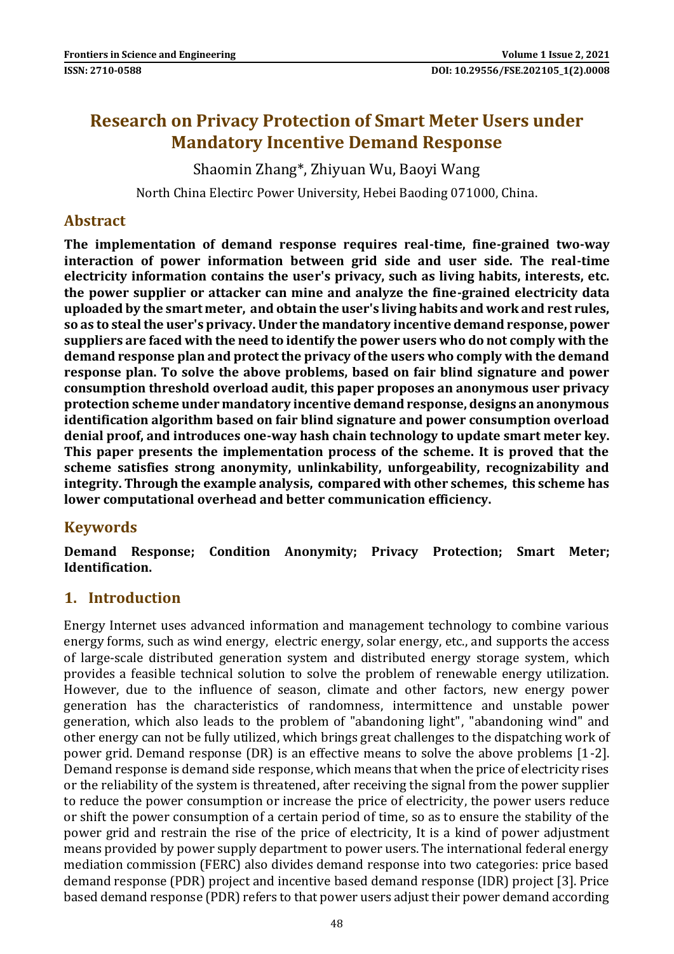# **Research on Privacy Protection of Smart Meter Users under Mandatory Incentive Demand Response**

Shaomin Zhang\*, Zhiyuan Wu, Baoyi Wang

North China Electirc Power University, Hebei Baoding 071000, China.

### **Abstract**

**The implementation of demand response requires real-time, fine-grained two-way interaction of power information between grid side and user side. The real-time electricity information contains the user's privacy, such as living habits, interests, etc. the power supplier or attacker can mine and analyze the fine-grained electricity data uploaded by the smart meter, and obtain the user's living habits and work and rest rules, so as to steal the user's privacy. Under the mandatory incentive demand response, power suppliers are faced with the need to identify the power users who do not comply with the demand response plan and protect the privacy of the users who comply with the demand response plan. To solve the above problems, based on fair blind signature and power consumption threshold overload audit, this paper proposes an anonymous user privacy protection scheme under mandatory incentive demand response, designs an anonymous identification algorithm based on fair blind signature and power consumption overload denial proof, and introduces one-way hash chain technology to update smart meter key. This paper presents the implementation process of the scheme. It is proved that the scheme satisfies strong anonymity, unlinkability, unforgeability, recognizability and integrity. Through the example analysis, compared with other schemes, this scheme has lower computational overhead and better communication efficiency.**

### **Keywords**

**Demand Response; Condition Anonymity; Privacy Protection; Smart Meter; Identification.**

### **1. Introduction**

Energy Internet uses advanced information and management technology to combine various energy forms, such as wind energy, electric energy, solar energy, etc., and supports the access of large-scale distributed generation system and distributed energy storage system, which provides a feasible technical solution to solve the problem of renewable energy utilization. However, due to the influence of season, climate and other factors, new energy power generation has the characteristics of randomness, intermittence and unstable power generation, which also leads to the problem of "abandoning light", "abandoning wind" and other energy can not be fully utilized, which brings great challenges to the dispatching work of power grid. Demand response (DR) is an effective means to solve the above problems [1-2]. Demand response is demand side response, which means that when the price of electricity rises or the reliability of the system is threatened, after receiving the signal from the power supplier to reduce the power consumption or increase the price of electricity, the power users reduce or shift the power consumption of a certain period of time, so as to ensure the stability of the power grid and restrain the rise of the price of electricity, It is a kind of power adjustment means provided by power supply department to power users. The international federal energy mediation commission (FERC) also divides demand response into two categories: price based demand response (PDR) project and incentive based demand response (IDR) project [3]. Price based demand response (PDR) refers to that power users adjust their power demand according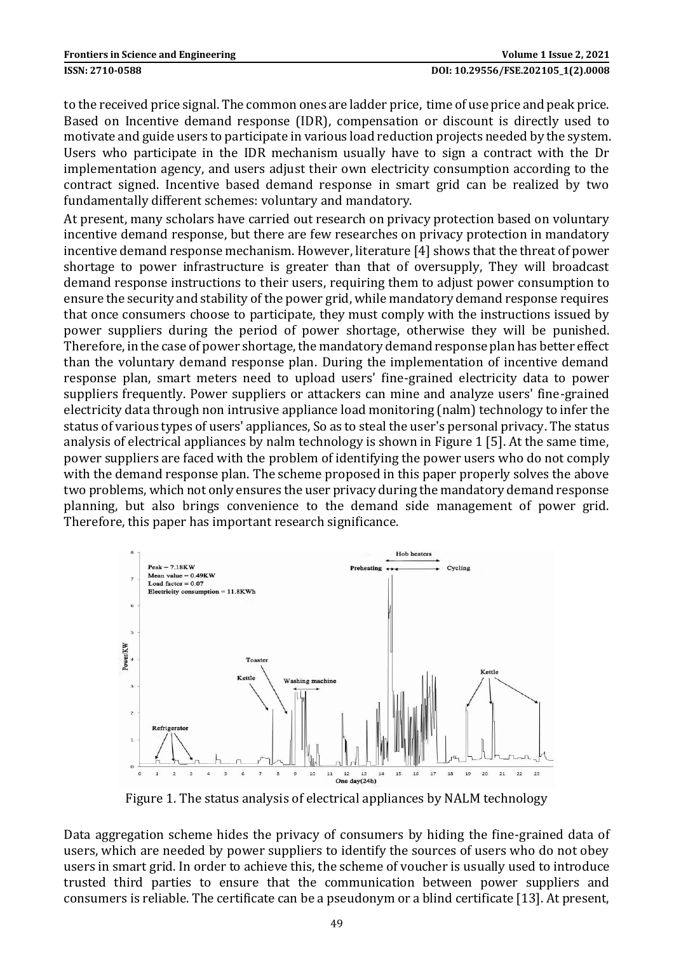to the received price signal. The common ones are ladder price, time of use price and peak price. Based on Incentive demand response (IDR), compensation or discount is directly used to motivate and guide users to participate in various load reduction projects needed by the system. Users who participate in the IDR mechanism usually have to sign a contract with the Dr implementation agency, and users adjust their own electricity consumption according to the contract signed. Incentive based demand response in smart grid can be realized by two fundamentally different schemes: voluntary and mandatory.

At present, many scholars have carried out research on privacy protection based on voluntary incentive demand response, but there are few researches on privacy protection in mandatory incentive demand response mechanism. However, literature [4] shows that the threat of power shortage to power infrastructure is greater than that of oversupply, They will broadcast demand response instructions to their users, requiring them to adjust power consumption to ensure the security and stability of the power grid, while mandatory demand response requires that once consumers choose to participate, they must comply with the instructions issued by power suppliers during the period of power shortage, otherwise they will be punished. Therefore, in the case of power shortage, the mandatory demand response plan has better effect than the voluntary demand response plan. During the implementation of incentive demand response plan, smart meters need to upload users' fine-grained electricity data to power suppliers frequently. Power suppliers or attackers can mine and analyze users' fine-grained electricity data through non intrusive appliance load monitoring (nalm) technology to infer the status of various types of users' appliances, So as to steal the user's personal privacy. The status analysis of electrical appliances by nalm technology is shown in Figure 1 [5]. At the same time, power suppliers are faced with the problem of identifying the power users who do not comply with the demand response plan. The scheme proposed in this paper properly solves the above two problems, which not only ensures the user privacy during the mandatory demand response planning, but also brings convenience to the demand side management of power grid. Therefore, this paper has important research significance.



Figure 1. The status analysis of electrical appliances by NALM technology

Data aggregation scheme hides the privacy of consumers by hiding the fine-grained data of users, which are needed by power suppliers to identify the sources of users who do not obey users in smart grid. In order to achieve this, the scheme of voucher is usually used to introduce trusted third parties to ensure that the communication between power suppliers and consumers is reliable. The certificate can be a pseudonym or a blind certificate [13]. At present,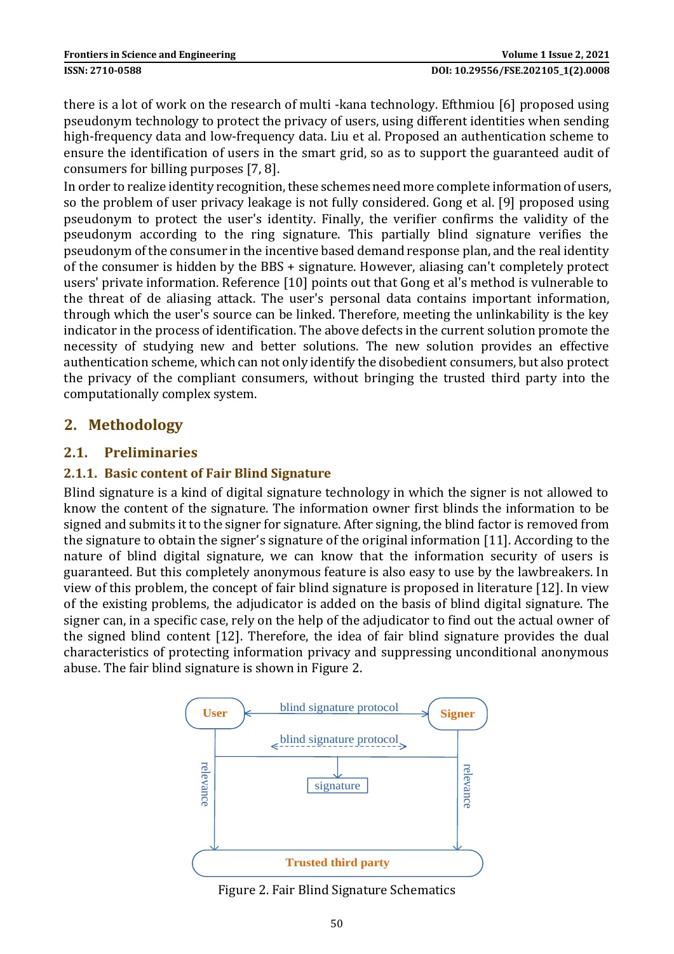there is a lot of work on the research of multi -kana technology. Efthmiou [6] proposed using pseudonym technology to protect the privacy of users, using different identities when sending high-frequency data and low-frequency data. Liu et al. Proposed an authentication scheme to ensure the identification of users in the smart grid, so as to support the guaranteed audit of consumers for billing purposes [7, 8].

In order to realize identity recognition, these schemes need more complete information of users, so the problem of user privacy leakage is not fully considered. Gong et al. [9] proposed using pseudonym to protect the user's identity. Finally, the verifier confirms the validity of the pseudonym according to the ring signature. This partially blind signature verifies the pseudonym of the consumer in the incentive based demand response plan, and the real identity of the consumer is hidden by the BBS + signature. However, aliasing can't completely protect users' private information. Reference [10] points out that Gong et al's method is vulnerable to the threat of de aliasing attack. The user's personal data contains important information, through which the user's source can be linked. Therefore, meeting the unlinkability is the key indicator in the process of identification. The above defects in the current solution promote the necessity of studying new and better solutions. The new solution provides an effective authentication scheme, which can not only identify the disobedient consumers, but also protect the privacy of the compliant consumers, without bringing the trusted third party into the computationally complex system.

### **2. Methodology**

### **2.1. Preliminaries**

### **2.1.1. Basic content of Fair Blind Signature**

Blind signature is a kind of digital signature technology in which the signer is not allowed to know the content of the signature. The information owner first blinds the information to be signed and submits it to the signer for signature. After signing, the blind factor is removed from the signature to obtain the signer's signature of the original information [11]. According to the nature of blind digital signature, we can know that the information security of users is guaranteed. But this completely anonymous feature is also easy to use by the lawbreakers. In view of this problem, the concept of fair blind signature is proposed in literature [12]. In view of the existing problems, the adjudicator is added on the basis of blind digital signature. The signer can, in a specific case, rely on the help of the adjudicator to find out the actual owner of the signed blind content [12]. Therefore, the idea of fair blind signature provides the dual characteristics of protecting information privacy and suppressing unconditional anonymous abuse. The fair blind signature is shown in Figure 2.



Figure 2. Fair Blind Signature Schematics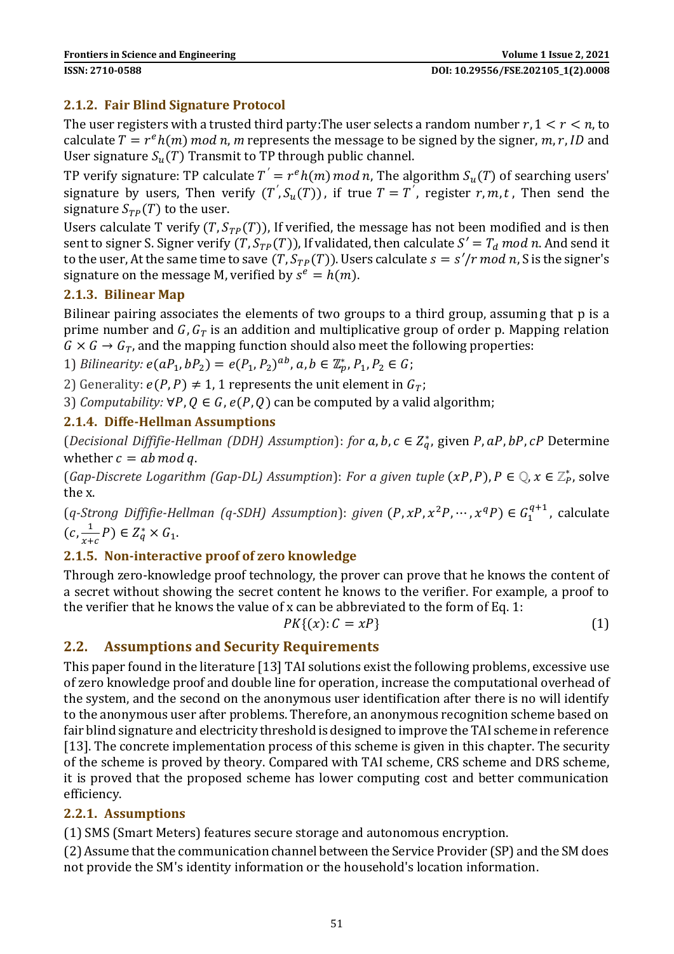### **2.1.2. Fair Blind Signature Protocol**

The user registers with a trusted third party: The user selects a random number  $r, 1 \le r \le n$  to calculate  $T = r^e h(m) \mod n$ , m represents the message to be signed by the signer,  $m, r, ID$  and User signature  $S_u(T)$  Transmit to TP through public channel.

TP verify signature: TP calculate  $T^{'} = r^{e}h(m) \bmod n$ , The algorithm  $S_u(T)$  of searching users' signature by users, Then verify  $(T^{'}, S_u(T))$ , if true  $T = T^{'}$ , register  $r, m, t$ , Then send the signature  $S_{TP}(T)$  to the user.

Users calculate T verify  $(T, S_{TP}(T))$ , If verified, the message has not been modified and is then sent to signer S. Signer verify  $(T, S_{TP}(T))$ , If validated, then calculate  $S' = T_d \text{ mod } n$ . And send it to the user, At the same time to save  $(T, S_{TP}(T))$ . Users calculate  $s = s'/r \mod n$ , S is the signer's signature on the message M, verified by  $s^e = h(m)$ .

### **2.1.3. Bilinear Map**

Bilinear pairing associates the elements of two groups to a third group, assuming that p is a prime number and  $G, G_T$  is an addition and multiplicative group of order p. Mapping relation  $G \times G \rightarrow G_T$ , and the mapping function should also meet the following properties:

1) *Bilinearity:*  $e(aP_1, bP_2) = e(P_1, P_2)^{ab}$ ,  $a, b \in \mathbb{Z}_p^*, P_1, P_2 \in G$ ;

2) Generality:  $e(P, P) \neq 1$ , 1 represents the unit element in  $G_T$ ;

3) *Computability:*  $\forall P, Q \in G$ ,  $e(P, Q)$  can be computed by a valid algorithm;

### **2.1.4. Diffe-Hellman Assumptions**

(*Decisional Diffifie-Hellman (DDH) Assumption*): *for*  $a, b, c \in Z_q^*$ , given  $P$ ,  $aP$ ,  $bP$ ,  $cP$  Determine whether  $c = ab \mod q$ .

(*Gap-Discrete Logarithm (Gap-DL) Assumption): For a given <i>tuple*  $(xP, P)$ ,  $P \in \mathbb{Q}, x \in \mathbb{Z}_P^*$ , solve the x.

 $(q\text{-Strong Diffifie-Hellman (q-SDH) Assumption): given (P, xP, x^2P, ..., x^qP) \in G_1^{q+1}$ , calculate  $(c, \frac{1}{\epsilon})$  $\frac{1}{x+c}P$   $\in Z_q^* \times G_1$ .

### **2.1.5. Non-interactive proof of zero knowledge**

Through zero-knowledge proof technology, the prover can prove that he knows the content of a secret without showing the secret content he knows to the verifier. For example, a proof to the verifier that he knows the value of x can be abbreviated to the form of Eq. 1:

$$
PK\{(x):C=xP\}\tag{1}
$$

### **2.2. Assumptions and Security Requirements**

This paper found in the literature [13] TAI solutions exist the following problems, excessive use of zero knowledge proof and double line for operation, increase the computational overhead of the system, and the second on the anonymous user identification after there is no will identify to the anonymous user after problems. Therefore, an anonymous recognition scheme based on fair blind signature and electricity threshold is designed to improve the TAI scheme in reference [13]. The concrete implementation process of this scheme is given in this chapter. The security of the scheme is proved by theory. Compared with TAI scheme, CRS scheme and DRS scheme, it is proved that the proposed scheme has lower computing cost and better communication efficiency.

#### **2.2.1. Assumptions**

(1) SMS (Smart Meters) features secure storage and autonomous encryption.

(2) Assume thatthe communication channel between the Service Provider (SP) and the SM does not provide the SM's identity information or the household's location information.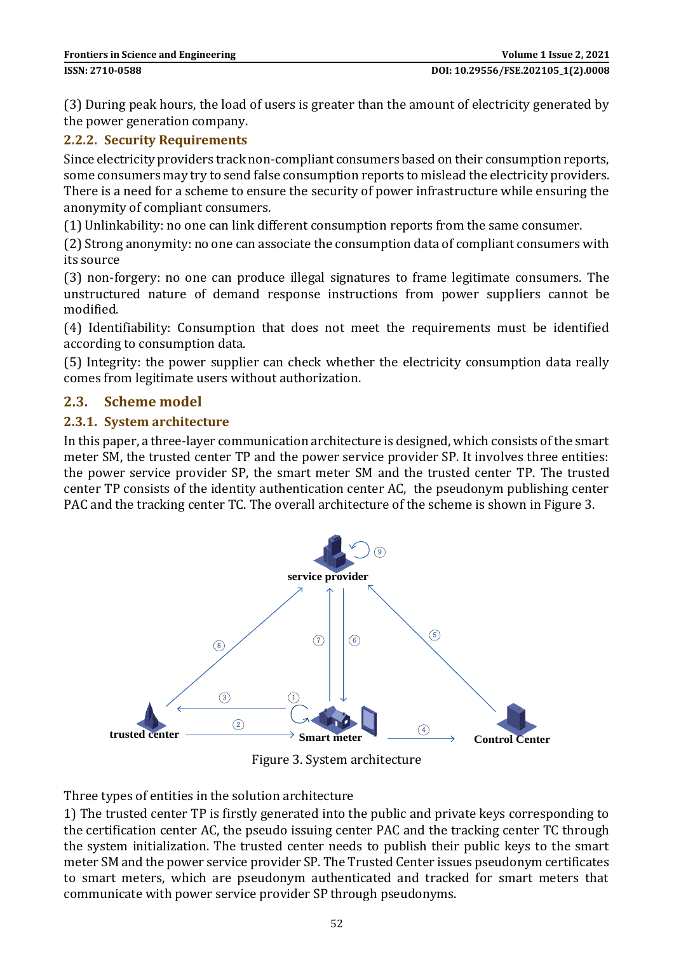(3) During peak hours, the load of users is greater than the amount of electricity generated by the power generation company.

#### **2.2.2. Security Requirements**

Since electricity providers track non-compliant consumers based on their consumption reports, some consumers may try to send false consumption reports to mislead the electricity providers. There is a need for a scheme to ensure the security of power infrastructure while ensuring the anonymity of compliant consumers.

(1) Unlinkability: no one can link different consumption reports from the same consumer.

(2) Strong anonymity: no one can associate the consumption data of compliant consumers with its source

(3) non-forgery: no one can produce illegal signatures to frame legitimate consumers. The unstructured nature of demand response instructions from power suppliers cannot be modified.

(4) Identifiability: Consumption that does not meet the requirements must be identified according to consumption data.

(5) Integrity: the power supplier can check whether the electricity consumption data really comes from legitimate users without authorization.

#### **2.3. Scheme model**

#### **2.3.1. System architecture**

In this paper, a three-layer communication architecture is designed, which consists of the smart meter SM, the trusted center TP and the power service provider SP. It involves three entities: the power service provider SP, the smart meter SM and the trusted center TP. The trusted center TP consists of the identity authentication center AC, the pseudonym publishing center PAC and the tracking center TC. The overall architecture of the scheme is shown in Figure 3.



Figure 3. System architecture

Three types of entities in the solution architecture

1) The trusted center TP is firstly generated into the public and private keys corresponding to the certification center AC, the pseudo issuing center PAC and the tracking center TC through the system initialization. The trusted center needs to publish their public keys to the smart meter SM and the power service provider SP. The Trusted Center issues pseudonym certificates to smart meters, which are pseudonym authenticated and tracked for smart meters that communicate with power service provider SP through pseudonyms.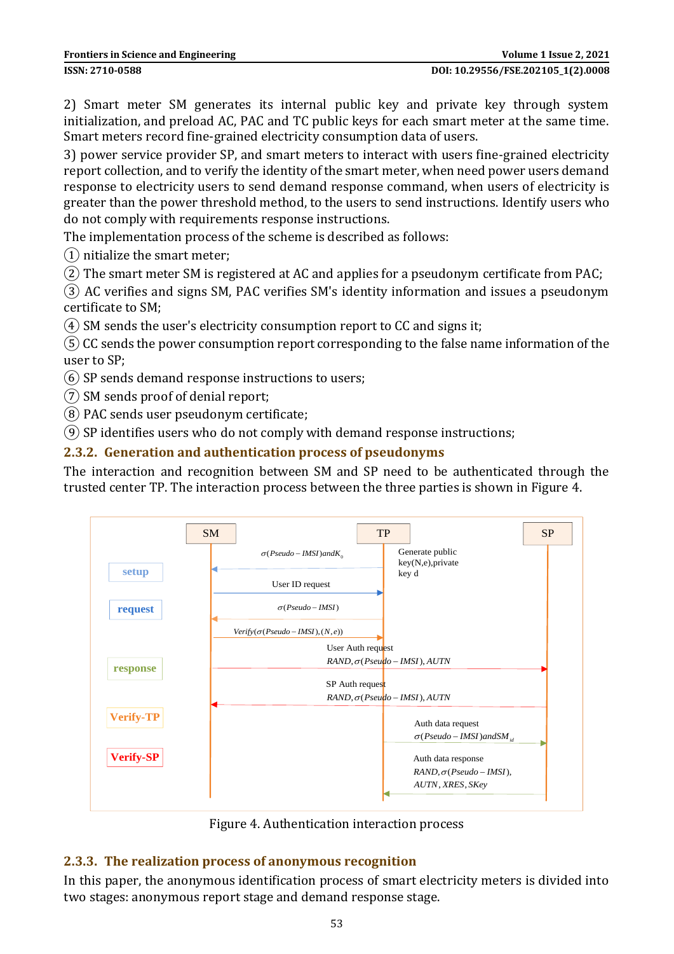2) Smart meter SM generates its internal public key and private key through system initialization, and preload AC, PAC and TC public keys for each smart meter at the same time. Smart meters record fine-grained electricity consumption data of users.

3) power service provider SP, and smart meters to interact with users fine-grained electricity report collection, and to verify the identity of the smart meter, when need power users demand response to electricity users to send demand response command, when users of electricity is greater than the power threshold method, to the users to send instructions. Identify users who do not comply with requirements response instructions.

The implementation process of the scheme is described as follows:

① nitialize the smart meter;

② The smart meter SM is registered at AC and applies for a pseudonym certificate from PAC;

③ AC verifies and signs SM, PAC verifies SM's identity information and issues a pseudonym certificate to SM;

 $(4)$  SM sends the user's electricity consumption report to CC and signs it;

⑤CC sends the power consumption report corresponding to the false name information of the user to SP;

⑥ SP sends demand response instructions to users;

⑦ SM sends proof of denial report;

⑧ PAC sends user pseudonym certificate;

⑨ SP identifies users who do not comply with demand response instructions;

### **2.3.2. Generation and authentication process of pseudonyms**

The interaction and recognition between SM and SP need to be authenticated through the trusted center TP. The interaction process between the three parties is shown in Figure 4.



Figure 4. Authentication interaction process

### **2.3.3. The realization process of anonymous recognition**

In this paper, the anonymous identification process of smart electricity meters is divided into two stages: anonymous report stage and demand response stage.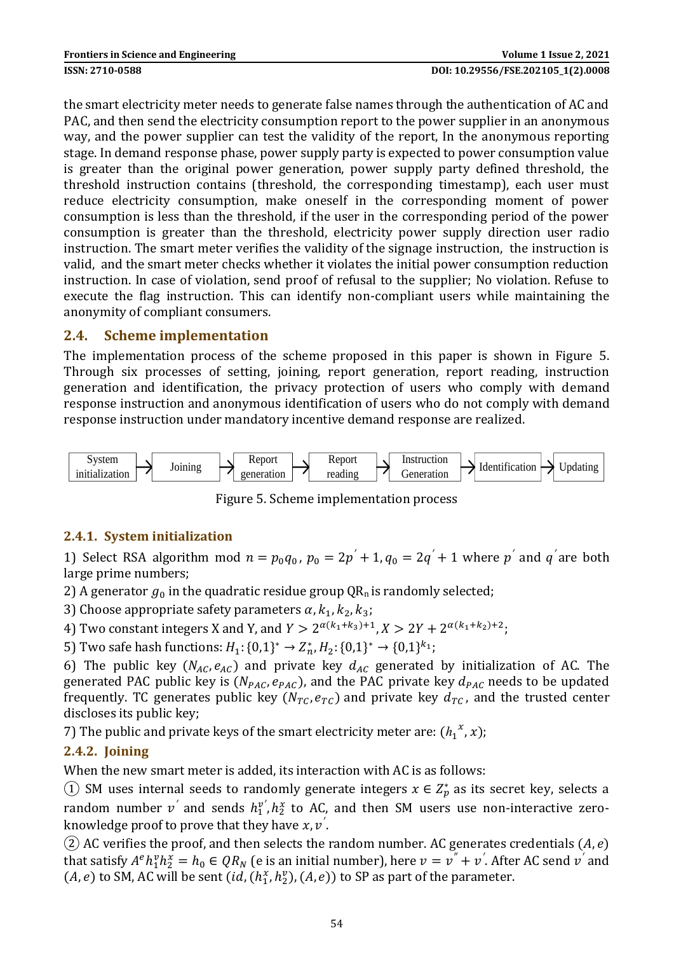the smart electricity meter needs to generate false names through the authentication of AC and PAC, and then send the electricity consumption report to the power supplier in an anonymous way, and the power supplier can test the validity of the report, In the anonymous reporting stage. In demand response phase, power supply party is expected to power consumption value is greater than the original power generation, power supply party defined threshold, the threshold instruction contains (threshold, the corresponding timestamp), each user must reduce electricity consumption, make oneself in the corresponding moment of power consumption is less than the threshold, if the user in the corresponding period of the power consumption is greater than the threshold, electricity power supply direction user radio instruction. The smart meter verifies the validity of the signage instruction, the instruction is valid, and the smart meter checks whether it violates the initial power consumption reduction instruction. In case of violation, send proof of refusal to the supplier; No violation. Refuse to execute the flag instruction. This can identify non-compliant users while maintaining the anonymity of compliant consumers.

### **2.4. Scheme implementation**

The implementation process of the scheme proposed in this paper is shown in Figure 5. Through six processes of setting, joining, report generation, report reading, instruction generation and identification, the privacy protection of users who comply with demand response instruction and anonymous identification of users who do not comply with demand response instruction under mandatory incentive demand response are realized.



Figure 5. Scheme implementation process

### **2.4.1. System initialization**

1) Select RSA algorithm mod  $n = p_0 q_0$ ,  $p_0 = 2p' + 1$ ,  $q_0 = 2q' + 1$  where p' and q'are both large prime numbers;

2) A generator  $g_0$  in the quadratic residue group QR<sub>n</sub> is randomly selected;

3) Choose appropriate safety parameters  $\alpha$ ,  $k_1$ ,  $k_2$ ,  $k_3$ ;

4) Two constant integers X and Y, and  $Y > 2^{\alpha(k_1+k_3)+1}$ ,  $X > 2Y + 2^{\alpha(k_1+k_2)+2}$ ;

5) Two safe hash functions:  $H_1$ : {0,1}<sup>\*</sup>  $\rightarrow Z_n^*$ ,  $H_2$ : {0,1}<sup>\*</sup>  $\rightarrow$  {0,1}<sup>k</sup><sub>1</sub>;

6) The public key ( $N_{AC}$ ,  $e_{AC}$ ) and private key  $d_{AC}$  generated by initialization of AC. The generated PAC public key is ( $N_{PAC}$ ,  $e_{PAC}$ ), and the PAC private key  $d_{PAC}$  needs to be updated frequently. TC generates public key  $(N_{TC}, e_{TC})$  and private key  $d_{TC}$ , and the trusted center discloses its public key;

7) The public and private keys of the smart electricity meter are:  $(h_1^x, x)$ ;

### **2.4.2. Joining**

When the new smart meter is added, its interaction with AC is as follows:

① SM uses internal seeds to randomly generate integers  $x \in Z_p^*$  as its secret key, selects a random number  $v'$  and sends  $h_1^{v'}, h_2^x$  to AC, and then SM users use non-interactive zeroknowledge proof to prove that they have  $x$ ,  $v^{'}$ .

(2) AC verifies the proof, and then selects the random number. AC generates credentials  $(A, e)$ that satisfy  $A^e h_1^v h_2^x = h_0 \in QR_N$  (e is an initial number), here  $v = v'' + v'$ . After AC send  $v'$  and  $(A, e)$  to SM, AC will be sent  $(id, (h_1^x, h_2^y), (A, e))$  to SP as part of the parameter.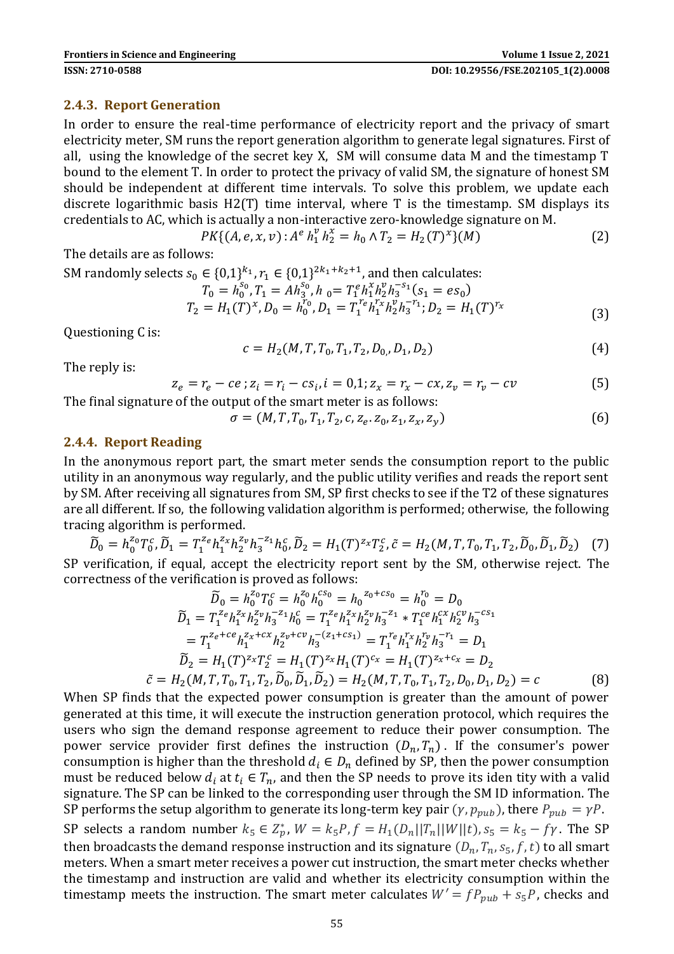#### **2.4.3. Report Generation**

In order to ensure the real-time performance of electricity report and the privacy of smart electricity meter, SM runs the report generation algorithm to generate legal signatures. First of all, using the knowledge of the secret key X, SM will consume data M and the timestamp T bound to the element T. In order to protect the privacy of valid SM, the signature of honest SM should be independent at different time intervals. To solve this problem, we update each discrete logarithmic basis H2(T) time interval, where T is the timestamp. SM displays its credentials to AC, which is actually a non-interactive zero-knowledge signature on M.

$$
PK\{(A, e, x, v): A^e h_1^v h_2^x = h_0 \wedge T_2 = H_2(T)^x\}(M)
$$
 (2)

The details are as follows:

SM randomly selects  $s_0 \in \{0,1\}^{k_1}, r_1 \in \{0,1\}^{2k_1+k_2+1}$ , and then calculates:

$$
T_0 = h_0^{s_0}, T_1 = Ah_3^{s_0}, h_0 = T_1^e h_1^x h_2^y h_3^{-s_1} (s_1 = es_0)
$$
  
\n
$$
T_2 = H_1(T)^x, D_0 = h_0^{r_0}, D_1 = T_1^{re} h_1^{r_x} h_2^y h_3^{-r_1}; D_2 = H_1(T)^{r_x}
$$
\n(3)

Questioning C is:

$$
c = H_2(M, T, T_0, T_1, T_2, D_0, D_1, D_2)
$$
\n
$$
(4)
$$

The reply is:

$$
z_e = r_e - ce \; ; z_i = r_i - cs_i, i = 0, 1; z_x = r_x - cx, z_v = r_v - cv \tag{5}
$$

The final signature of the output of the smart meter is as follows:

$$
\sigma = (M, T, T_0, T_1, T_2, c, z_e, z_0, z_1, z_x, z_y)
$$
\n(6)

#### **2.4.4. Report Reading**

In the anonymous report part, the smart meter sends the consumption report to the public utility in an anonymous way regularly, and the public utility verifies and reads the report sent by SM. After receiving all signatures from SM, SP first checks to see if the T2 of these signatures are all different. If so, the following validation algorithm is performed; otherwise, the following tracing algorithm is performed.

 $\widetilde{D}_0 = h_0^{z_0} T_0^c, \widetilde{D}_1 = T_1^{z_e} h_1^{z_x} h_2^{z_y} h_3^{-z_1} h_0^c, \widetilde{D}_2 = H_1(T)^{z_x} T_2^c, \widetilde{c} = H_2(M, T, T_0, T_1, T_2, \widetilde{D}_0, \widetilde{D}_1, \widetilde{D}_2)$  (7) SP verification, if equal, accept the electricity report sent by the SM, otherwise reject. The correctness of the verification is proved as follows:

$$
\widetilde{D}_0 = h_0^{z_0} T_0^c = h_0^{z_0} h_0^{c s_0} = h_0^{z_0 + c s_0} = h_0^{r_0} = D_0
$$
\n
$$
\widetilde{D}_1 = T_1^{z_e} h_1^{z_x} h_2^{z_y} h_3^{-z_1} h_0^c = T_1^{z_e} h_1^{z_x} h_2^{z_y} h_3^{-z_1} * T_1^{c_e} h_1^{c_x} h_2^{c_y} h_3^{-c s_1}
$$
\n
$$
= T_1^{z_e + c_e} h_1^{z_x + c_x} h_2^{z_y + c_v} h_3^{-(z_1 + c s_1)} = T_1^{r_e} h_1^{r_x} h_2^{r_y} h_3^{-r_1} = D_1
$$
\n
$$
\widetilde{D}_2 = H_1(T)^{z_x} T_2^c = H_1(T)^{z_x} H_1(T)^{c_x} = H_1(T)^{z_x + c_x} = D_2
$$
\n
$$
\widetilde{c} = H_2(M, T, T_0, T_1, T_2, \widetilde{D}_0, \widetilde{D}_1, \widetilde{D}_2) = H_2(M, T, T_0, T_1, T_2, D_0, D_1, D_2) = c
$$
\n(8)

power service provider first defines the instruction  $(D_n, T_n)$ . If the consumer's power When SP finds that the expected power consumption is greater than the amount of power generated at this time, it will execute the instruction generation protocol, which requires the users who sign the demand response agreement to reduce their power consumption. The consumption is higher than the threshold  $d_i \in D_n$  defined by SP, then the power consumption must be reduced below  $d_i$  at  $t_i \in T_n$ , and then the SP needs to prove its iden tity with a valid signature. The SP can be linked to the corresponding user through the SM ID information. The SP performs the setup algorithm to generate its long-term key pair  $(\gamma, p_{pub})$ , there  $P_{pub} = \gamma P$ . SP selects a random number  $k_5 \in Z_p^*$ ,  $W = k_5 P$ ,  $f = H_1(D_n||T_n||W||t)$ ,  $s_5 = k_5 - f\gamma$ . The SP then broadcasts the demand response instruction and its signature  $(D_n, T_n, s_5, f, t)$  to all smart meters. When a smart meter receives a power cut instruction, the smart meter checks whether the timestamp and instruction are valid and whether its electricity consumption within the timestamp meets the instruction. The smart meter calculates  $W' = f P_{pub} + s_5 P$ , checks and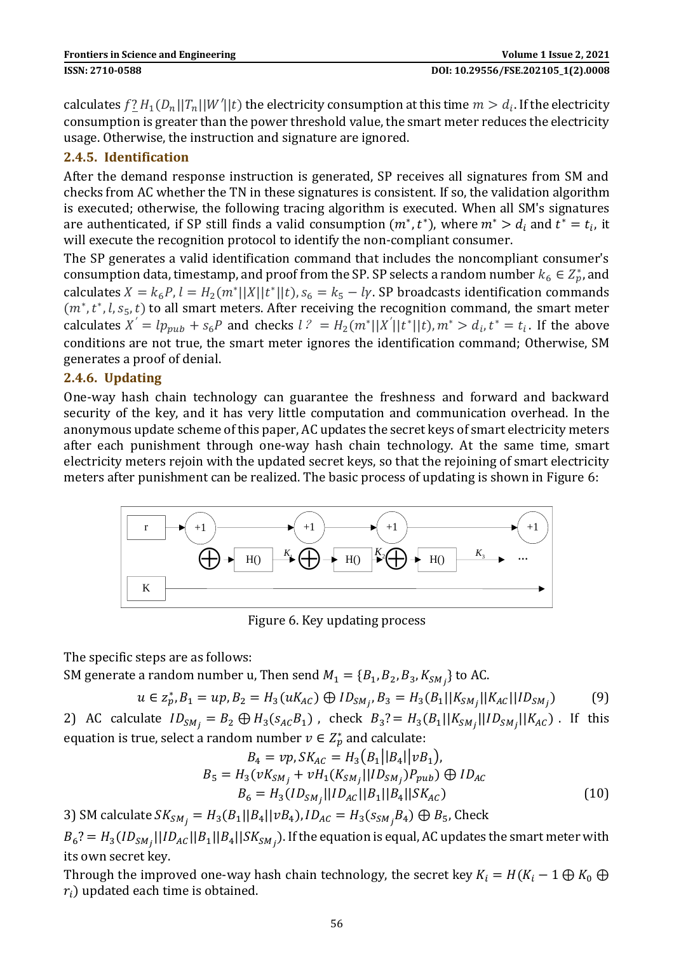calculates  $f_2^L H_1(D_n||T_n||W'||t)$  the electricity consumption at this time  $m > d_i$ . If the electricity consumption is greater than the power threshold value, the smart meter reduces the electricity usage. Otherwise, the instruction and signature are ignored.

### **2.4.5. Identification**

After the demand response instruction is generated, SP receives all signatures from SM and checks from AC whether the TN in these signatures is consistent. If so, the validation algorithm is executed; otherwise, the following tracing algorithm is executed. When all SM's signatures are authenticated, if SP still finds a valid consumption  $(m^*, t^*)$ , where  $m^* > d_i$  and  $t^* = t_i$ , it will execute the recognition protocol to identify the non-compliant consumer.

The SP generates a valid identification command that includes the noncompliant consumer's consumption data, timestamp, and proof from the SP. SP selects a random number  $k_6 \in Z_p^*$ , and calculates  $X = k_6 P$ ,  $l = H_2(m^*||X||t^*||t)$ ,  $s_6 = k_5 - l\gamma$ . SP broadcasts identification commands  $(m^*, t^*, l, s_5, t)$  to all smart meters. After receiving the recognition command, the smart meter calculates  $X' = lp_{pub} + s_6P$  and checks  $l^2 = H_2(m^*||X'||t^*||t)$ ,  $m^* > d_i$ ,  $t^* = t_i$ . If the above conditions are not true, the smart meter ignores the identification command; Otherwise, SM generates a proof of denial.

#### **2.4.6. Updating**

One-way hash chain technology can guarantee the freshness and forward and backward security of the key, and it has very little computation and communication overhead. In the anonymous update scheme of this paper, AC updates the secret keys of smart electricity meters after each punishment through one-way hash chain technology. At the same time, smart electricity meters rejoin with the updated secret keys, so that the rejoining of smart electricity meters after punishment can be realized. The basic process of updating is shown in Figure 6:



Figure 6. Key updating process

The specific steps are as follows:

SM generate a random number u, Then send  $M_1 = \{B_1, B_2, B_3, K_{SM_j}\}$  to AC.

$$
u \in z_p^*, B_1 = up, B_2 = H_3(uK_{AC}) \oplus ID_{SM_j}, B_3 = H_3(B_1||K_{SM_j}||K_{AC}||ID_{SM_j})
$$
(9)

2) AC calculate  $ID_{SM_j} = B_2 \oplus H_3(s_{AC}B_1)$ , check  $B_3? = H_3(B_1||K_{SM_j}||ID_{SM_j}||K_{AC})$ . If this equation is true, select a random number  $v \in Z_p^*$  and calculate:

$$
B_4 = vp, SK_{AC} = H_3(B_1||B_4||vB_1),
$$
  
\n
$$
B_5 = H_3(vK_{SM_j} + vH_1(K_{SM_j}||ID_{SM_j})P_{pub}) \oplus ID_{AC}
$$
  
\n
$$
B_6 = H_3(ID_{SM_j}||ID_{AC}||B_1||B_4||SK_{AC})
$$
\n(10)

Ì 3) SM calculate  $SK_{SM_j} = H_3(B_1||B_4||vB_4)$ ,  $ID_{AC} = H_3(S_{SM_j}B_4) \bigoplus B_5$ , Check

 $B_6$ ? =  $H_3(ID_{SM_j}||ID_{AC}||B_1||B_4||SK_{SM_j})$ . If the equation is equal, AC updates the smart meter with its own secret key.

Through the improved one-way hash chain technology, the secret key  $K_i = H(K_i - 1 \oplus K_0 \oplus$  $r_i$ ) updated each time is obtained.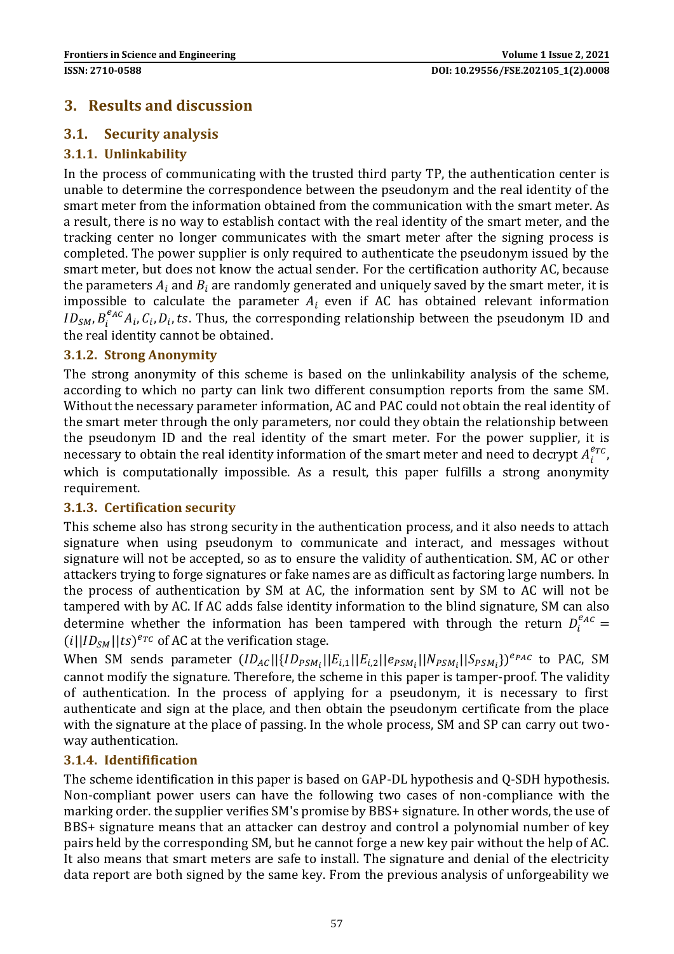# **3. Results and discussion**

### **3.1. Security analysis**

### **3.1.1. Unlinkability**

In the process of communicating with the trusted third party TP, the authentication center is unable to determine the correspondence between the pseudonym and the real identity of the smart meter from the information obtained from the communication with the smart meter. As a result, there is no way to establish contact with the real identity of the smart meter, and the tracking center no longer communicates with the smart meter after the signing process is completed. The power supplier is only required to authenticate the pseudonym issued by the smart meter, but does not know the actual sender. For the certification authority AC, because the parameters  $A_i$  and  $B_i$  are randomly generated and uniquely saved by the smart meter, it is impossible to calculate the parameter  $A_i$  even if AC has obtained relevant information  $ID_{SM}$ ,  $B_i^{e_{AC}}A_i$ ,  $C_i$ ,  $D_i$ , ts. Thus, the corresponding relationship between the pseudonym ID and the real identity cannot be obtained.

#### **3.1.2. Strong Anonymity**

The strong anonymity of this scheme is based on the unlinkability analysis of the scheme, according to which no party can link two different consumption reports from the same SM. Without the necessary parameter information, AC and PAC could not obtain the real identity of the smart meter through the only parameters, nor could they obtain the relationship between the pseudonym ID and the real identity of the smart meter. For the power supplier, it is necessary to obtain the real identity information of the smart meter and need to decrypt  $A_i^{erc}$ , which is computationally impossible. As a result, this paper fulfills a strong anonymity requirement.

#### **3.1.3. Certification security**

This scheme also has strong security in the authentication process, and it also needs to attach signature when using pseudonym to communicate and interact, and messages without signature will not be accepted, so as to ensure the validity of authentication. SM, AC or other attackers trying to forge signatures or fake names are as difficult as factoring large numbers. In the process of authentication by SM at AC, the information sent by SM to AC will not be tampered with by AC. If AC adds false identity information to the blind signature, SM can also determine whether the information has been tampered with through the return  $D_i^{eq,c}$  =  $(i||ID_{SM}||ts)^{e_{TC}}$  of AC at the verification stage.

When SM sends parameter  $(ID_{AC}||{ID_{PSM}}_{i}||E_{i,1}||E_{i,2}||e_{PSM}_{i}||N_{PSM}_{i}||S_{PSM}_{i})^{e_{PAC}}$  to PAC, SM cannot modify the signature. Therefore, the scheme in this paper is tamper-proof. The validity of authentication. In the process of applying for a pseudonym, it is necessary to first authenticate and sign at the place, and then obtain the pseudonym certificate from the place with the signature at the place of passing. In the whole process, SM and SP can carry out twoway authentication.

#### **3.1.4. Identifification**

The scheme identification in this paper is based on GAP-DL hypothesis and Q-SDH hypothesis. Non-compliant power users can have the following two cases of non-compliance with the marking order. the supplier verifies SM's promise by BBS+ signature. In other words, the use of BBS+ signature means that an attacker can destroy and control a polynomial number of key pairs held by the corresponding SM, but he cannot forge a new key pair without the help of AC. It also means that smart meters are safe to install. The signature and denial of the electricity data report are both signed by the same key. From the previous analysis of unforgeability we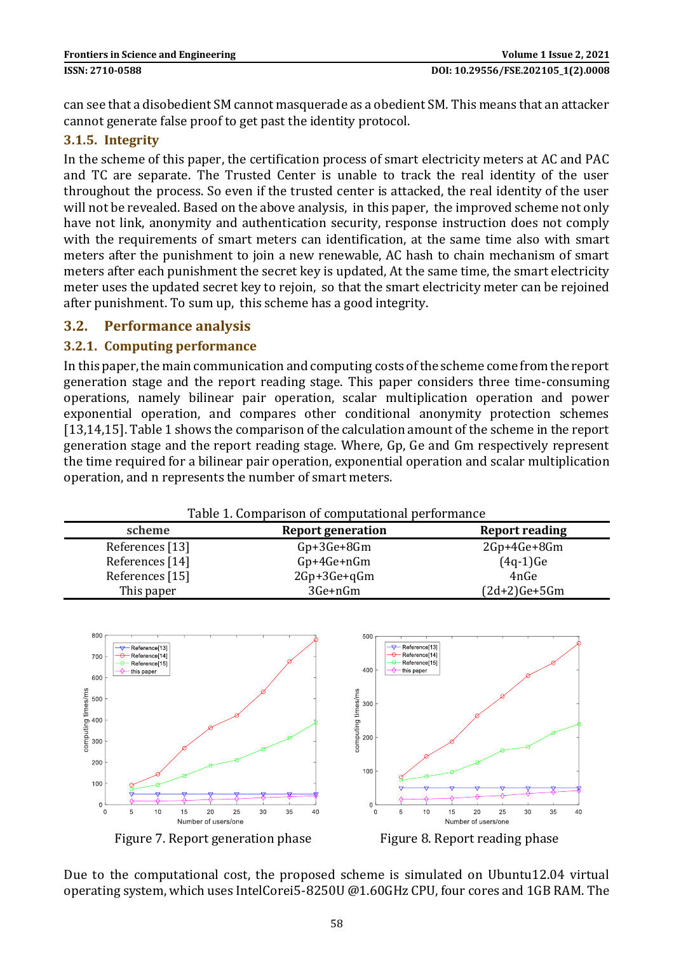can see that a disobedient SM cannot masquerade as a obedient SM. This means that an attacker cannot generate false proof to get past the identity protocol.

#### **3.1.5. Integrity**

In the scheme of this paper, the certification process of smart electricity meters at AC and PAC and TC are separate. The Trusted Center is unable to track the real identity of the user throughout the process. So even if the trusted center is attacked, the real identity of the user will not be revealed. Based on the above analysis, in this paper, the improved scheme not only have not link, anonymity and authentication security, response instruction does not comply with the requirements of smart meters can identification, at the same time also with smart meters after the punishment to join a new renewable, AC hash to chain mechanism of smart meters after each punishment the secret key is updated, At the same time, the smart electricity meter uses the updated secret key to rejoin, so that the smart electricity meter can be rejoined after punishment. To sum up, this scheme has a good integrity.

#### **3.2. Performance analysis**

#### **3.2.1. Computing performance**

In this paper, the main communication and computing costs of the scheme come from the report generation stage and the report reading stage. This paper considers three time-consuming operations, namely bilinear pair operation, scalar multiplication operation and power exponential operation, and compares other conditional anonymity protection schemes [13,14,15]. Table 1 shows the comparison of the calculation amount of the scheme in the report generation stage and the report reading stage. Where, Gp, Ge and Gm respectively represent the time required for a bilinear pair operation, exponential operation and scalar multiplication operation, and n represents the number of smart meters.

| Table 1. Comparison of computational performance |                          |                       |
|--------------------------------------------------|--------------------------|-----------------------|
| scheme                                           | <b>Report generation</b> | <b>Report reading</b> |
| References [13]                                  | $Gp+3Ge+8Gm$             | 2Gp+4Ge+8Gm           |
| References [14]                                  | $Gp+4Ge+nGm$             | $(4q-1)$ Ge           |
| References [15]                                  | 2Gp+3Ge+qGm              | 4nGe                  |
| This paper                                       | 3Ge+nGm                  | $(2d+2)Ge+5Gm$        |



Due to the computational cost, the proposed scheme is simulated on Ubuntu12.04 virtual operating system, which uses IntelCorei5-8250U @1.60GHz CPU, four cores and 1GB RAM. The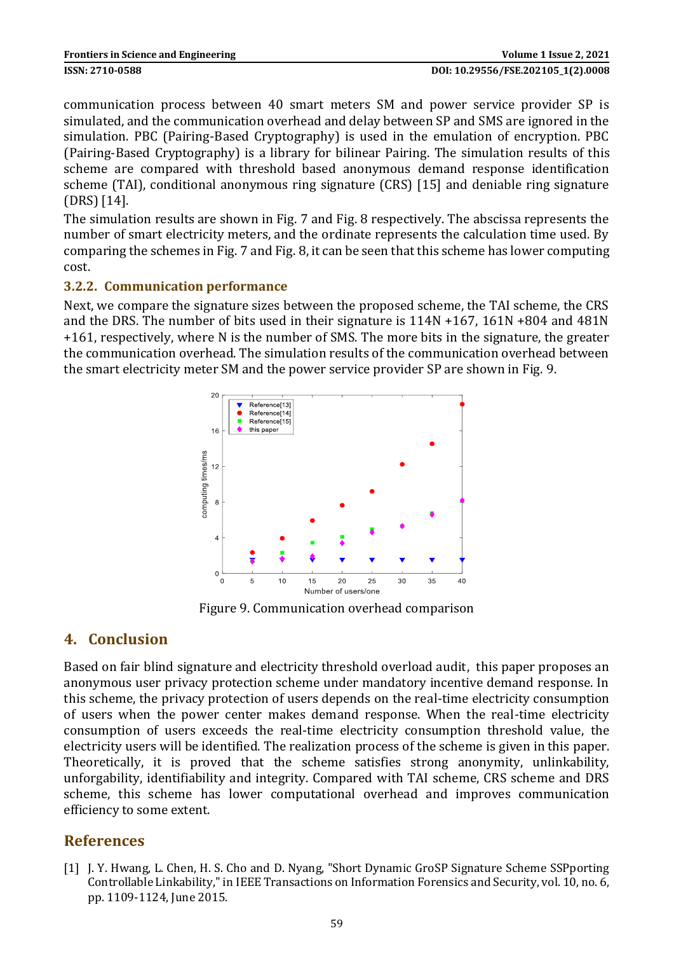communication process between 40 smart meters SM and power service provider SP is simulated, and the communication overhead and delay between SP and SMS are ignored in the simulation. PBC (Pairing-Based Cryptography) is used in the emulation of encryption. PBC (Pairing-Based Cryptography) is a library for bilinear Pairing. The simulation results of this scheme are compared with threshold based anonymous demand response identification scheme (TAI), conditional anonymous ring signature (CRS) [15] and deniable ring signature (DRS) [14].

The simulation results are shown in Fig. 7 and Fig. 8 respectively. The abscissa represents the number of smart electricity meters, and the ordinate represents the calculation time used. By comparing the schemes in Fig. 7 and Fig. 8, it can be seen that this scheme has lower computing cost.

#### **3.2.2. Communication performance**

Next, we compare the signature sizes between the proposed scheme, the TAI scheme, the CRS and the DRS. The number of bits used in their signature is 114N +167, 161N +804 and 481N +161, respectively, where N is the number of SMS. The more bits in the signature, the greater the communication overhead. The simulation results of the communication overhead between the smart electricity meter SM and the power service provider SP are shown in Fig. 9.



Figure 9. Communication overhead comparison

# **4. Conclusion**

Based on fair blind signature and electricity threshold overload audit, this paper proposes an anonymous user privacy protection scheme under mandatory incentive demand response. In this scheme, the privacy protection of users depends on the real-time electricity consumption of users when the power center makes demand response. When the real-time electricity consumption of users exceeds the real-time electricity consumption threshold value, the electricity users will be identified. The realization process of the scheme is given in this paper. Theoretically, it is proved that the scheme satisfies strong anonymity, unlinkability, unforgability, identifiability and integrity. Compared with TAI scheme, CRS scheme and DRS scheme, this scheme has lower computational overhead and improves communication efficiency to some extent.

### **References**

[1] J. Y. Hwang, L. Chen, H. S. Cho and D. Nyang, "Short Dynamic GroSP Signature Scheme SSPporting Controllable Linkability," in IEEE Transactions on Information Forensics and Security, vol. 10, no. 6, pp. 1109-1124, June 2015.